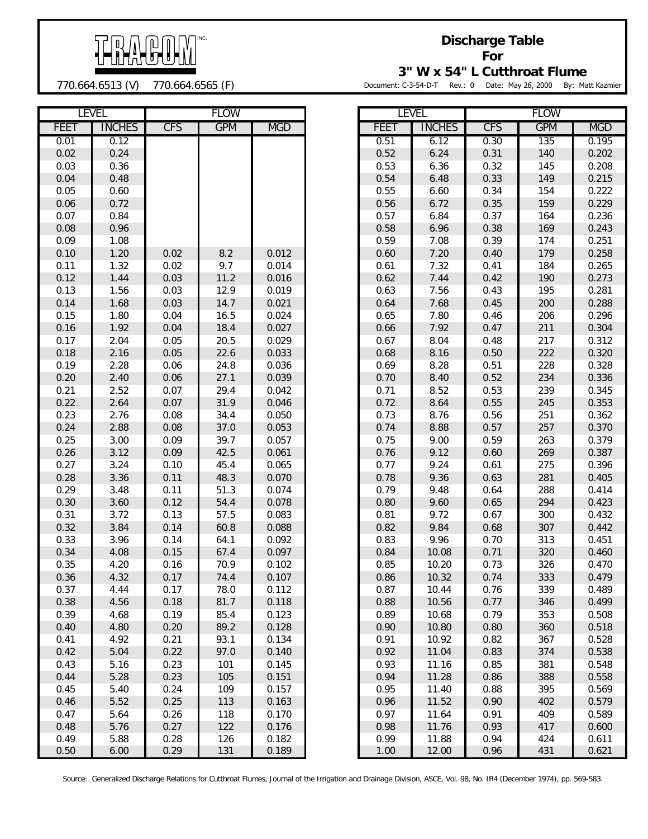

770.664.6513 (V) 770.664.6565 (F)

**Discharge Table For**

**3" W x 54" L Cutthroat Flume**

Document: C-3-54-D-T Rev.: 0 Date: May 26, 2000 By: Matt Kazmier

|             | <b>LEVEL</b>  |            | <b>FLOW</b> |            |             | <b>LEVEL</b>  |            | <b>FLOW</b> |            |
|-------------|---------------|------------|-------------|------------|-------------|---------------|------------|-------------|------------|
| <b>FEET</b> | <b>INCHES</b> | <b>CFS</b> | <b>GPM</b>  | <b>MGD</b> | <b>FEET</b> | <b>INCHES</b> | <b>CFS</b> | <b>GPM</b>  | <b>MGD</b> |
| 0.01        | 0.12          |            |             |            | 0.51        | 6.12          | 0.30       | 135         | 0.195      |
| 0.02        | 0.24          |            |             |            | 0.52        | 6.24          | 0.31       | 140         | 0.202      |
| 0.03        | 0.36          |            |             |            | 0.53        | 6.36          | 0.32       | 145         | 0.208      |
| 0.04        | 0.48          |            |             |            | 0.54        | 6.48          | 0.33       | 149         | 0.215      |
| 0.05        | 0.60          |            |             |            | 0.55        | 6.60          | 0.34       | 154         | 0.222      |
| 0.06        | 0.72          |            |             |            | 0.56        | 6.72          | 0.35       | 159         | 0.229      |
| 0.07        | 0.84          |            |             |            | 0.57        | 6.84          | 0.37       | 164         | 0.236      |
| 0.08        | 0.96          |            |             |            | 0.58        | 6.96          | 0.38       | 169         | 0.243      |
| 0.09        | 1.08          |            |             |            | 0.59        | 7.08          | 0.39       | 174         | 0.251      |
| 0.10        | 1.20          | 0.02       | 8.2         | 0.012      | 0.60        | 7.20          | 0.40       | 179         | 0.258      |
| 0.11        | 1.32          | 0.02       | 9.7         | 0.014      | 0.61        | 7.32          | 0.41       | 184         | 0.265      |
| 0.12        | 1.44          | 0.03       | 11.2        | 0.016      | 0.62        | 7.44          | 0.42       | 190         | 0.273      |
| 0.13        | 1.56          | 0.03       | 12.9        | 0.019      | 0.63        | 7.56          | 0.43       | 195         | 0.281      |
| 0.14        | 1.68          | 0.03       | 14.7        | 0.021      | 0.64        | 7.68          | 0.45       | 200         | 0.288      |
| 0.15        | 1.80          | 0.04       | 16.5        | 0.024      | 0.65        | 7.80          | 0.46       | 206         | 0.296      |
| 0.16        | 1.92          | 0.04       | 18.4        | 0.027      | 0.66        | 7.92          | 0.47       | 211         | 0.304      |
| 0.17        | 2.04          | 0.05       | 20.5        | 0.029      | 0.67        | 8.04          | 0.48       | 217         | 0.312      |
| 0.18        | 2.16          | 0.05       | 22.6        | 0.033      | 0.68        | 8.16          | 0.50       | 222         | 0.320      |
| 0.19        | 2.28          | 0.06       | 24.8        | 0.036      | 0.69        | 8.28          | 0.51       | 228         | 0.328      |
| 0.20        | 2.40          | 0.06       | 27.1        | 0.039      | 0.70        | 8.40          | 0.52       | 234         | 0.336      |
| 0.21        | 2.52          | 0.07       | 29.4        | 0.042      | 0.71        | 8.52          | 0.53       | 239         | 0.345      |
| 0.22        | 2.64          | 0.07       | 31.9        | 0.046      | 0.72        | 8.64          | 0.55       | 245         | 0.353      |
| 0.23        | 2.76          | 0.08       | 34.4        | 0.050      | 0.73        | 8.76          | 0.56       | 251         | 0.362      |
| 0.24        | 2.88          | 0.08       | 37.0        | 0.053      | 0.74        | 8.88          | 0.57       | 257         | 0.370      |
| 0.25        | 3.00          | 0.09       | 39.7        | 0.057      | 0.75        | 9.00          | 0.59       | 263         | 0.379      |
| 0.26        | 3.12          | 0.09       | 42.5        | 0.061      | 0.76        | 9.12          | 0.60       | 269         | 0.387      |
| 0.27        | 3.24          | 0.10       | 45.4        | 0.065      | 0.77        | 9.24          | 0.61       | 275         | 0.396      |
| 0.28        | 3.36          | 0.11       | 48.3        | 0.070      | 0.78        | 9.36          | 0.63       | 281         | 0.405      |
| 0.29        | 3.48          | 0.11       | 51.3        | 0.074      | 0.79        | 9.48          | 0.64       | 288         | 0.414      |
| 0.30        | 3.60          | 0.12       | 54.4        | 0.078      | 0.80        | 9.60          | 0.65       | 294         | 0.423      |
| 0.31        | 3.72          | 0.13       | 57.5        | 0.083      | 0.81        | 9.72          | 0.67       | 300         | 0.432      |
| 0.32        | 3.84          | 0.14       | 60.8        | 0.088      | 0.82        | 9.84          | 0.68       | 307         | 0.442      |
| 0.33        | 3.96          | 0.14       | 64.1        | 0.092      | 0.83        | 9.96          | 0.70       | 313         | 0.451      |
| 0.34        | 4.08          | 0.15       | 67.4        | 0.097      | 0.84        | 10.08         | 0.71       | 320         | 0.460      |
| 0.35        | 4.20          | 0.16       | 70.9        | 0.102      | 0.85        | 10.20         | 0.73       | 326         | 0.470      |
| 0.36        | 4.32          | 0.17       | 74.4        | 0.107      | $0.86\,$    | 10.32         | 0.74       | 333         | 0.479      |
| 0.37        | 4.44          | 0.17       | 78.0        | 0.112      | 0.87        | 10.44         | 0.76       | 339         | 0.489      |
| 0.38        | 4.56          | 0.18       | 81.7        | 0.118      | 0.88        | 10.56         | 0.77       | 346         | 0.499      |
| 0.39        | 4.68          | 0.19       | 85.4        | 0.123      | 0.89        | 10.68         | 0.79       | 353         | 0.508      |
| 0.40        | 4.80          | 0.20       | 89.2        | 0.128      | 0.90        | 10.80         | 0.80       | 360         | 0.518      |
| 0.41        | 4.92          | 0.21       | 93.1        | 0.134      | 0.91        | 10.92         | 0.82       | 367         | 0.528      |
| 0.42        | 5.04          | 0.22       | 97.0        | 0.140      | 0.92        | 11.04         | 0.83       | 374         | 0.538      |
| 0.43        | 5.16          | 0.23       | 101         | 0.145      | 0.93        | 11.16         | 0.85       | 381         | 0.548      |
| 0.44        | 5.28          | 0.23       | 105         | 0.151      | 0.94        | 11.28         | 0.86       | 388         | 0.558      |
| 0.45        | 5.40          | 0.24       | 109         | 0.157      | 0.95        | 11.40         | 0.88       | 395         | 0.569      |
| 0.46        | 5.52          | 0.25       | 113         | 0.163      | 0.96        | 11.52         | 0.90       | 402         | 0.579      |
| 0.47        | 5.64          | 0.26       | 118         | 0.170      | 0.97        | 11.64         | 0.91       | 409         | 0.589      |
| 0.48        | 5.76          | 0.27       | 122         | 0.176      | 0.98        | 11.76         | 0.93       | 417         | 0.600      |
| 0.49        | 5.88          | 0.28       | 126         | 0.182      | 0.99        | 11.88         | 0.94       | 424         | 0.611      |
| 0.50        | 6.00          | 0.29       | 131         | 0.189      | 1.00        | 12.00         | 0.96       | 431         | 0.621      |

|      | LEVEL         | FLOW       |            |            |  |  |
|------|---------------|------------|------------|------------|--|--|
| FEET | <b>INCHES</b> | <b>CFS</b> | <b>GPM</b> | <b>MGD</b> |  |  |
| 0.51 | 6.12          | 0.30       | 135        | 0.195      |  |  |
| 0.52 | 6.24          | 0.31       | 140        | 0.202      |  |  |
| 0.53 | 6.36          | 0.32       | 145        | 0.208      |  |  |
| 0.54 | 6.48          | 0.33       | 149        | 0.215      |  |  |
| 0.55 | 6.60          | 0.34       | 154        | 0.222      |  |  |
| 0.56 | 6.72          | 0.35       | 159        | 0.229      |  |  |
| 0.57 | 6.84          | 0.37       | 164        | 0.236      |  |  |
| 0.58 | 6.96          | 0.38       | 169        | 0.243      |  |  |
| 0.59 | 7.08          | 0.39       | 174        | 0.251      |  |  |
| 0.60 | 7.20          | 0.40       | 179        | 0.258      |  |  |
| 0.61 | 7.32          | 0.41       | 184        | 0.265      |  |  |
| 0.62 | 7.44          | 0.42       | 190        | 0.273      |  |  |
| 0.63 | 7.56          | 0.43       | 195        | 0.281      |  |  |
| 0.64 | 7.68          | 0.45       | 200        | 0.288      |  |  |
| 0.65 | 7.80          | 0.46       | 206        | 0.296      |  |  |
| 0.66 | 7.92          | 0.47       | 211        | 0.304      |  |  |
| 0.67 | 8.04          | 0.48       | 217        | 0.312      |  |  |
| 0.68 | 8.16          | 0.50       | 222        | 0.320      |  |  |
| 0.69 | 8.28          | 0.51       | 228        | 0.328      |  |  |
| 0.70 | 8.40          | 0.52       | 234        | 0.336      |  |  |
| 0.71 | 8.52          | 0.53       | 239        | 0.345      |  |  |
| 0.72 | 8.64          | 0.55       | 245        | 0.353      |  |  |
| 0.73 | 8.76          | 0.56       | 251        | 0.362      |  |  |
| 0.74 | 8.88          | 0.57       | 257        | 0.370      |  |  |
| 0.75 | 9.00          | 0.59       | 263        | 0.379      |  |  |
| 0.76 | 9.12          | 0.60       | 269        | 0.387      |  |  |
| 0.77 | 9.24          | 0.61       | 275        | 0.396      |  |  |
| 0.78 | 9.36          | 0.63       | 281        | 0.405      |  |  |
| 0.79 | 9.48          | 0.64       | 288        | 0.414      |  |  |
| 0.80 | 9.60          | 0.65       | 294        | 0.423      |  |  |
| 0.81 | 9.72          | 0.67       | 300        | 0.432      |  |  |
| 0.82 | 9.84          | 0.68       | 307        | 0.442      |  |  |
| 0.83 | 9.96          | 0.70       | 313        | 0.451      |  |  |
| 0.84 | 10.08         | 0.71       | 320        | 0.460      |  |  |
| 0.85 | 10.20         | 0.73       | 326        | 0.470      |  |  |
| 0.86 | 10.32         | 0.74       | 333        | 0.479      |  |  |
| 0.87 | 10.44         | 0.76       | 339        | 0.489      |  |  |
| 0.88 | 10.56         | 0.77       | 346        | 0.499      |  |  |
| 0.89 | 10.68         | 0.79       | 353        | 0.508      |  |  |
| 0.90 | 10.80         | 0.80       | 360        | 0.518      |  |  |
| 0.91 | 10.92         | 0.82       | 367        | 0.528      |  |  |
| 0.92 | 11.04         | 0.83       | 374        | 0.538      |  |  |
| 0.93 | 11.16         | 0.85       | 381        | 0.548      |  |  |
| 0.94 | 11.28         | 0.86       | 388        | 0.558      |  |  |
| 0.95 | 11.40         | 0.88       | 395        | 0.569      |  |  |
| 0.96 | 11.52         | 0.90       | 402        | 0.579      |  |  |
| 0.97 | 11.64         | 0.91       | 409        | 0.589      |  |  |
| 0.98 | 11.76         | 0.93       | 417        | 0.600      |  |  |
| 0.99 | 11.88         | 0.94       | 424        | 0.611      |  |  |
| 1.00 | 12.00         | 0.96       | 431        | 0.621      |  |  |

Source: Generalized Discharge Relations for Cutthroat Flumes, Journal of the Irrigation and Drainage Division, ASCE, Vol. 98, No. IR4 (December 1974), pp. 569-583.